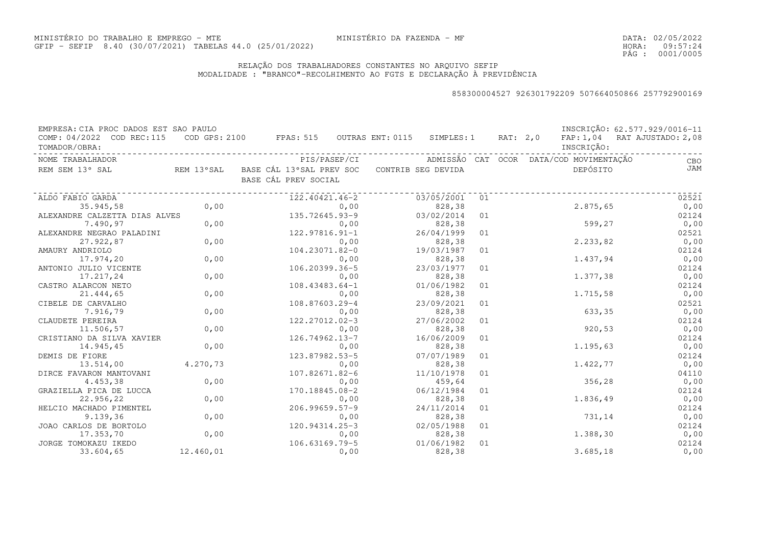DATA:02/05/2022HORA: PÁG : 09:57:24 0001/0005

### RELAÇÃO DOS TRABALHADORES CONSTANTES NO ARQUIVO SEFIPMODALIDADE : "BRANCO"-RECOLHIMENTO AO FGTS E DECLARAÇÃO À PREVIDÊNCIA

| EMPRESA: CIA PROC DADOS EST SAO PAULO |            |                                          |      |                    |    |          |                                         | INSCRIÇÃO: 62.577.929/0016-11 |
|---------------------------------------|------------|------------------------------------------|------|--------------------|----|----------|-----------------------------------------|-------------------------------|
| COMP: 04/2022 COD REC:115             |            | COD GPS: 2100 FPAS: 515 OUTRAS ENT: 0115 |      | SIMPLES: 1         |    | RAT: 2,0 |                                         | FAP: 1,04 RAT AJUSTADO: 2,08  |
| TOMADOR/OBRA:                         |            |                                          |      |                    |    |          | INSCRIÇÃO:                              |                               |
| NOME TRABALHADOR                      |            | PIS/PASEP/CI                             |      |                    |    |          | ADMISSÃO CAT OCOR DATA/COD MOVIMENTAÇÃO | CBO                           |
| REM SEM 13° SAL                       | REM 13°SAL | BASE CÁL 13°SAL PREV SOC                 |      | CONTRIB SEG DEVIDA |    |          | DEPÓSITO                                | JAM                           |
|                                       |            | BASE CÁL PREV SOCIAL                     |      |                    |    |          |                                         |                               |
| ALDO FABIO GARDA                      |            | 122.40421.46-2                           |      | 03/05/2001         | 01 |          |                                         | 02521                         |
| 35.945,58                             | 0,00       |                                          | 0,00 | 828,38             |    |          | 2.875,65                                | 0,00                          |
| ALEXANDRE CALZETTA DIAS ALVES         |            | 135.72645.93-9                           |      | 03/02/2014         | 01 |          |                                         | 02124                         |
| 7.490,97                              | 0,00       |                                          | 0,00 | 828,38             |    |          | 599,27                                  | 0,00                          |
| ALEXANDRE NEGRAO PALADINI             |            | 122.97816.91-1                           |      | 26/04/1999         | 01 |          |                                         | 02521                         |
| 27.922,87                             | 0,00       |                                          | 0,00 | 828,38             |    |          | 2.233,82                                | 0,00                          |
| AMAURY ANDRIOLO                       |            | 104.23071.82-0                           |      | 19/03/1987         | 01 |          |                                         | 02124                         |
| 17.974,20                             | 0,00       |                                          | 0,00 | 828,38             |    |          | 1.437,94                                | 0,00                          |
| ANTONIO JULIO VICENTE                 |            | 106.20399.36-5                           |      | 23/03/1977         | 01 |          |                                         | 02124                         |
| 17.217,24                             | 0,00       |                                          | 0,00 | 828,38             |    |          | 1.377,38                                | 0,00                          |
| CASTRO ALARCON NETO                   |            | $108.43483.64 - 1$                       |      | 01/06/1982         | 01 |          |                                         | 02124                         |
| 21.444,65                             | 0,00       |                                          | 0,00 | 828,38             |    |          | 1.715,58                                | 0,00                          |
| CIBELE DE CARVALHO                    |            | 108.87603.29-4                           |      | 23/09/2021         | 01 |          |                                         | 02521                         |
| 7.916,79                              | 0,00       |                                          | 0,00 | 828,38             |    |          | 633,35                                  | 0,00                          |
| CLAUDETE PEREIRA                      |            | 122.27012.02-3                           |      | 27/06/2002         | 01 |          |                                         | 02124                         |
| 11.506,57                             | 0,00       |                                          | 0,00 | 828,38             |    |          | 920,53                                  | 0,00                          |
| CRISTIANO DA SILVA XAVIER             |            | 126.74962.13-7                           |      | 16/06/2009         | 01 |          |                                         | 02124                         |
| 14.945,45                             | 0,00       |                                          | 0,00 | 828,38             |    |          | 1.195,63                                | 0,00                          |
| DEMIS DE FIORE                        |            | 123.87982.53-5                           |      | 07/07/1989         | 01 |          |                                         | 02124                         |
| 13.514,00                             | 4.270,73   |                                          | 0,00 | 828,38             |    |          | 1.422,77                                | 0,00                          |
| DIRCE FAVARON MANTOVANI               |            | 107.82671.82-6                           |      | 11/10/1978         | 01 |          |                                         | 04110                         |
| 4.453,38                              | 0,00       |                                          | 0,00 | 459,64             |    |          | 356,28                                  | 0,00                          |
| GRAZIELLA PICA DE LUCCA               |            | 170.18845.08-2                           |      | 06/12/1984         | 01 |          |                                         | 02124                         |
| 22.956,22                             | 0,00       |                                          | 0,00 | 828,38             |    |          | 1.836,49                                | 0,00                          |
| HELCIO MACHADO PIMENTEL               |            | $206.99659.57 - 9$                       |      | 24/11/2014         | 01 |          |                                         | 02124                         |
| 9.139,36                              | 0,00       |                                          | 0,00 | 828,38             |    |          | 731,14                                  | 0,00                          |
| JOAO CARLOS DE BORTOLO                |            | 120.94314.25-3                           |      | 02/05/1988         | 01 |          |                                         | 02124                         |
| 17.353,70                             | 0,00       |                                          | 0,00 | 828,38             |    |          | 1.388,30                                | 0,00                          |
| JORGE TOMOKAZU IKEDO                  |            | 106.63169.79-5                           |      | 01/06/1982         | 01 |          |                                         | 02124                         |
| 33.604,65                             | 12.460,01  |                                          | 0,00 | 828,38             |    |          | 3.685,18                                | 0,00                          |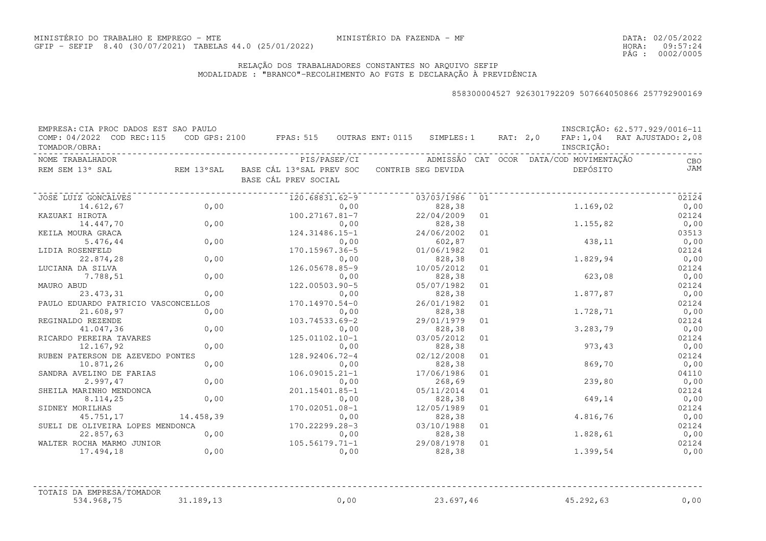DATA:02/05/2022HORA: PÁG : 09:57:24 0002/0005

#### RELAÇÃO DOS TRABALHADORES CONSTANTES NO ARQUIVO SEFIPMODALIDADE : "BRANCO"-RECOLHIMENTO AO FGTS E DECLARAÇÃO À PREVIDÊNCIA

| EMPRESA: CIA PROC DADOS EST SAO PAULO<br>COMP: 04/2022 COD REC:115 COD GPS: 2100 FPAS: 515 OUTRAS ENT: 0115 SIMPLES: 1 RAT: 2,0 FAP: 1,04 RAT AJUSTADO: 2,08<br>TOMADOR/OBRA: |           |                                                        |            |    |  | INSCRIÇÃO: | INSCRIÇÃO: 62.577.929/0016-11 |
|-------------------------------------------------------------------------------------------------------------------------------------------------------------------------------|-----------|--------------------------------------------------------|------------|----|--|------------|-------------------------------|
| NOME TRABALHADOR                                                                                                                                                              |           |                                                        |            |    |  |            | <b>CBO</b>                    |
| REM SEM 13° SAL                                                                                                                                                               |           | REM 13°SAL BASE CÁL 13°SAL PREV SOC CONTRIB SEG DEVIDA |            |    |  | DEPÓSITO   | <b>JAM</b>                    |
|                                                                                                                                                                               |           | BASE CÁL PREV SOCIAL                                   |            |    |  |            |                               |
| JOSE LUIZ GONCALVES                                                                                                                                                           |           | 120.68831.62-9                                         | 03/03/1986 | 01 |  |            | 02124                         |
| 14.612,67                                                                                                                                                                     | 0,00      | 0,00                                                   | 828,38     |    |  | 1.169,02   | 0,00                          |
| KAZUAKI HIROTA                                                                                                                                                                |           | 100.27167.81-7                                         | 22/04/2009 | 01 |  |            | 02124                         |
| 14.447,70                                                                                                                                                                     | 0,00      | 0,00                                                   | 828,38     |    |  | 1.155, 82  | 0,00                          |
| KEILA MOURA GRACA                                                                                                                                                             |           | 124.31486.15-1                                         | 24/06/2002 | 01 |  |            | 03513                         |
| 5.476,44                                                                                                                                                                      | 0,00      | 0,00                                                   | 602,87     |    |  | 438,11     | 0,00                          |
| LIDIA ROSENFELD                                                                                                                                                               |           | 170.15967.36-5                                         | 01/06/1982 | 01 |  |            | 02124                         |
| 22.874,28                                                                                                                                                                     | 0,00      | 0,00                                                   | 828,38     |    |  | 1.829,94   | 0,00                          |
| LUCIANA DA SILVA                                                                                                                                                              |           | 126.05678.85-9                                         | 10/05/2012 | 01 |  |            | 02124                         |
| 7.788,51                                                                                                                                                                      | 0,00      | 0,00                                                   | 828,38     |    |  | 623,08     | 0,00                          |
| MAURO ABUD                                                                                                                                                                    |           | 122.00503.90-5                                         | 05/07/1982 | 01 |  |            | 02124                         |
| 23.473,31                                                                                                                                                                     | 0,00      | 0,00                                                   | 828,38     |    |  | 1.877,87   | 0,00                          |
| PAULO EDUARDO PATRICIO VASCONCELLOS                                                                                                                                           |           | 170.14970.54-0                                         | 26/01/1982 | 01 |  |            | 02124                         |
| 21.608,97                                                                                                                                                                     | 0,00      | 0,00                                                   | 828,38     |    |  | 1.728,71   | 0,00                          |
| REGINALDO REZENDE                                                                                                                                                             |           | 103.74533.69-2                                         | 29/01/1979 | 01 |  |            | 02124                         |
| 41.047,36                                                                                                                                                                     | 0,00      | 0,00                                                   | 828,38     |    |  | 3.283,79   | 0,00                          |
| RICARDO PEREIRA TAVARES                                                                                                                                                       |           | 125.01102.10-1                                         | 03/05/2012 | 01 |  |            | 02124                         |
| 12.167,92                                                                                                                                                                     | 0,00      | 0,00                                                   | 828,38     |    |  | 973,43     | 0,00                          |
| RUBEN PATERSON DE AZEVEDO PONTES                                                                                                                                              |           | 128.92406.72-4                                         | 02/12/2008 | 01 |  |            | 02124                         |
| 10.871,26                                                                                                                                                                     | 0,00      | 0,00                                                   | 828,38     |    |  | 869,70     | 0,00                          |
| SANDRA AVELINO DE FARIAS                                                                                                                                                      |           | 106.09015.21-1                                         | 17/06/1986 | 01 |  |            | 04110                         |
| 2.997,47                                                                                                                                                                      | 0,00      | 0,00                                                   | 268,69     |    |  | 239,80     | 0,00                          |
| SHEILA MARINHO MENDONCA                                                                                                                                                       |           | 201.15401.85-1                                         | 05/11/2014 | 01 |  |            | 02124                         |
| 8.114,25                                                                                                                                                                      | 0,00      | 0,00                                                   | 828,38     |    |  | 649,14     | 0,00                          |
| SIDNEY MORILHAS                                                                                                                                                               |           | 170.02051.08-1                                         | 12/05/1989 | 01 |  |            | 02124                         |
| 45.751,17                                                                                                                                                                     | 14.458,39 | 0,00                                                   | 828,38     |    |  | 4.816,76   | 0,00                          |
| SUELI DE OLIVEIRA LOPES MENDONCA                                                                                                                                              |           | 170.22299.28-3                                         | 03/10/1988 | 01 |  |            | 02124                         |
| 22.857,63                                                                                                                                                                     | 0,00      | 0,00                                                   | 828,38     |    |  | 1.828,61   | 0,00                          |
| WALTER ROCHA MARMO JUNIOR                                                                                                                                                     |           | $105.56179.71 - 1$                                     | 29/08/1978 | 01 |  |            | 02124                         |
| 17.494,18                                                                                                                                                                     | 0,00      | 0,00                                                   | 828,38     |    |  | 1.399,54   | 0,00                          |
| TOTAIS DA EMPRESA/TOMADOR                                                                                                                                                     |           |                                                        |            |    |  |            |                               |
| 534.968,75                                                                                                                                                                    | 31.189,13 | 0,00                                                   | 23.697,46  |    |  | 45.292,63  | 0,00                          |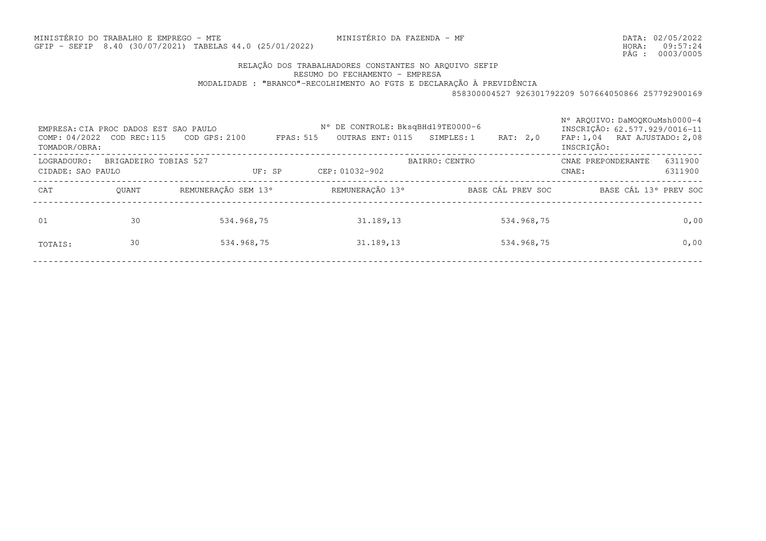MINISTÉRIO DO TRABALHO E EMPREGO - MTEGFIP - SEFIP 8.40 (30/07/2021) TABELAS44.0 (25/01/2022)

MINISTÉRIO DA FAZENDA - MF

DATA:02/05/2022HORA: PÁG : 09:57:24 0003/0005

# RELAÇÃO DOS TRABALHADORES CONSTANTES NO ARQUIVO SEFIP

RESUMO DO FECHAMENTO - EMPRESA

MODALIDADE : "BRANCO"-RECOLHIMENTO AO FGTS E DECLARAÇÃO À PREVIDÊNCIA

| EMPRESA: CIA PROC DADOS EST SAO PAULO<br>COMP: 04/2022 COD REC:115<br>TOMADOR/OBRA: |                       | COD GPS: 2100       | FPAS: 515 | N° DE CONTROLE: BksqBHd19TE0000-6<br>OUTRAS ENT: 0115 | SIMPLES: 1     | RAT: 2,0          | N° AROUIVO: DaMOOKOuMsh0000-4<br>INSCRIÇÃO: 62.577.929/0016-11<br>FAP: 1,04 RAT AJUSTADO: 2,08<br>INSCRIÇÃO: |         |
|-------------------------------------------------------------------------------------|-----------------------|---------------------|-----------|-------------------------------------------------------|----------------|-------------------|--------------------------------------------------------------------------------------------------------------|---------|
| LOGRADOURO:                                                                         | BRIGADEIRO TOBIAS 527 |                     |           |                                                       | BAIRRO: CENTRO |                   | CNAE PREPONDERANTE                                                                                           | 6311900 |
| CIDADE: SAO PAULO                                                                   |                       | UF: SP              |           | CEP: 01032-902                                        |                |                   | CNAE:                                                                                                        | 6311900 |
| CAT                                                                                 | OUANT                 | REMUNERAÇÃO SEM 13° |           | REMUNERAÇÃO 13°                                       |                | BASE CÁL PREV SOC | BASE CÁL 13° PREV SOC                                                                                        |         |
| 01                                                                                  | 30                    | 534.968,75          |           | 31.189,13                                             |                | 534.968,75        |                                                                                                              | 0,00    |
| TOTAIS:                                                                             | 30                    | 534.968,75          |           | 31.189,13                                             |                | 534.968,75        |                                                                                                              | 0,00    |
|                                                                                     |                       |                     |           |                                                       |                |                   |                                                                                                              |         |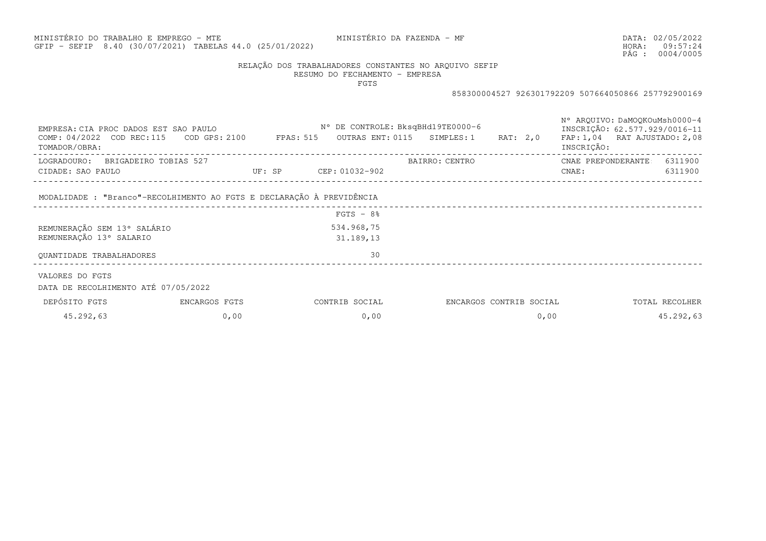## MINISTÉRIO DO TRABALHO E EMPREGO - MTEGFIP - SEFIP 8.40 (30/07/2021) TABELAS44.0 (25/01/2022)

MINISTÉRIO DA FAZENDA - MF

DATA:02/05/2022HORA: PÁG : 09:57:24 0004/0005

### RELAÇÃO DOS TRABALHADORES CONSTANTES NO ARQUIVO SEFIP

RESUMO DO FECHAMENTO - EMPRESAFGTS

| EMPRESA: CIA PROC DADOS EST SAO PAULO<br>COMP: 04/2022 COD REC:115<br>TOMADOR/OBRA: | COD GPS: 2100 FPAS: 515           |                       | N° DE CONTROLE: BksqBHd19TE0000-6 | OUTRAS ENT: 0115 SIMPLES: 1 | RAT: 2,0                | N° AROUIVO: DaMOOKOuMsh0000-4<br>INSCRIÇÃO: 62.577.929/0016-11<br>FAP: 1,04 RAT AJUSTADO: 2,08<br>INSCRIÇÃO: |                |
|-------------------------------------------------------------------------------------|-----------------------------------|-----------------------|-----------------------------------|-----------------------------|-------------------------|--------------------------------------------------------------------------------------------------------------|----------------|
| LOGRADOURO: BRIGADEIRO TOBIAS 527                                                   |                                   |                       |                                   | BAIRRO: CENTRO              |                         | CNAE PREPONDERANTE 6311900                                                                                   |                |
| CIDADE: SAO PAULO                                                                   |                                   | UF: SP CEP: 01032-902 |                                   |                             |                         | CNAE :                                                                                                       | 6311900        |
| MODALIDADE: "Branco"-RECOLHIMENTO AO FGTS E DECLARAÇÃO À PREVIDÊNCIA                | _________________________________ |                       |                                   |                             |                         |                                                                                                              |                |
|                                                                                     |                                   |                       | $FGTS - 8%$                       |                             |                         |                                                                                                              |                |
| REMUNERAÇÃO SEM 13° SALÁRIO                                                         |                                   |                       | 534.968,75                        |                             |                         |                                                                                                              |                |
| REMUNERAÇÃO 13° SALARIO                                                             |                                   |                       | 31.189,13                         |                             |                         |                                                                                                              |                |
| <b>OUANTIDADE TRABALHADORES</b>                                                     |                                   |                       | 30                                |                             |                         |                                                                                                              |                |
| VALORES DO FGTS<br>DATA DE RECOLHIMENTO ATÉ 07/05/2022                              |                                   |                       |                                   |                             |                         |                                                                                                              |                |
| DEPÓSITO FGTS                                                                       | ENCARGOS FGTS                     |                       | CONTRIB SOCIAL                    |                             | ENCARGOS CONTRIB SOCIAL |                                                                                                              | TOTAL RECOLHER |
| 45.292,63                                                                           | 0,00                              |                       | 0,00                              |                             | 0,00                    |                                                                                                              | 45.292,63      |
|                                                                                     |                                   |                       |                                   |                             |                         |                                                                                                              |                |